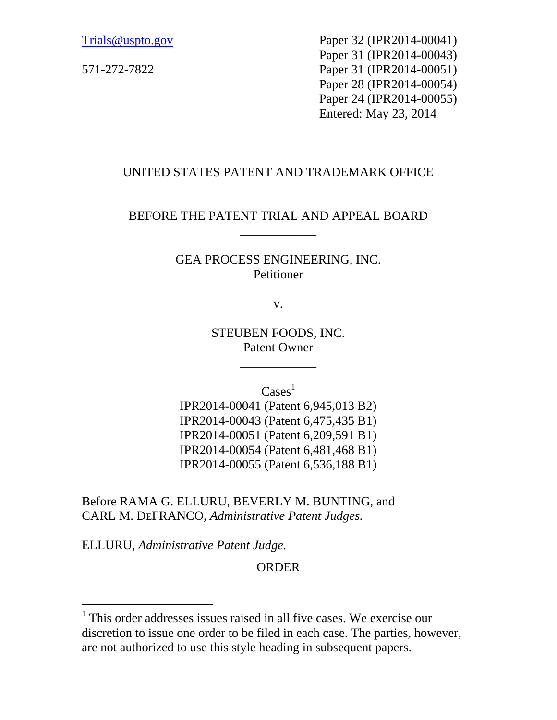Trials@uspto.gov Paper 32 (IPR2014-00041) Paper 31 (IPR2014-00043) 571-272-7822 Paper 31 (IPR2014-00051) Paper 28 (IPR2014-00054) Paper 24 (IPR2014-00055) Entered: May 23, 2014

# UNITED STATES PATENT AND TRADEMARK OFFICE \_\_\_\_\_\_\_\_\_\_\_\_

# BEFORE THE PATENT TRIAL AND APPEAL BOARD \_\_\_\_\_\_\_\_\_\_\_\_

### GEA PROCESS ENGINEERING, INC. Petitioner

v.

STEUBEN FOODS, INC. Patent Owner

\_\_\_\_\_\_\_\_\_\_\_\_

 $\text{Case}^1$ 

IPR2014-00041 (Patent 6,945,013 B2) IPR2014-00043 (Patent 6,475,435 B1) IPR2014-00051 (Patent 6,209,591 B1) IPR2014-00054 (Patent 6,481,468 B1) IPR2014-00055 (Patent 6,536,188 B1)

Before RAMA G. ELLURU, BEVERLY M. BUNTING, and CARL M. DEFRANCO, *Administrative Patent Judges.*

ELLURU, *Administrative Patent Judge.* 

-

ORDER

<sup>&</sup>lt;sup>1</sup> This order addresses issues raised in all five cases. We exercise our discretion to issue one order to be filed in each case. The parties, however, are not authorized to use this style heading in subsequent papers.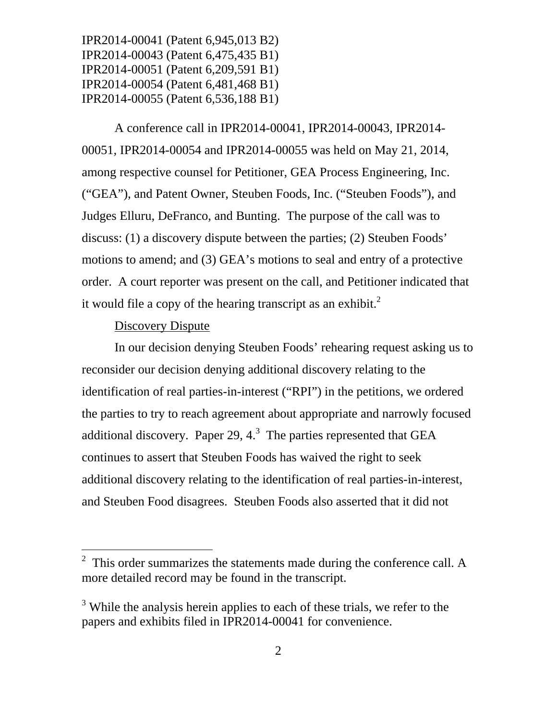A conference call in IPR2014-00041, IPR2014-00043, IPR2014- 00051, IPR2014-00054 and IPR2014-00055 was held on May 21, 2014, among respective counsel for Petitioner, GEA Process Engineering, Inc. ("GEA"), and Patent Owner, Steuben Foods, Inc. ("Steuben Foods"), and Judges Elluru, DeFranco, and Bunting. The purpose of the call was to discuss: (1) a discovery dispute between the parties; (2) Steuben Foods' motions to amend; and (3) GEA's motions to seal and entry of a protective order. A court reporter was present on the call, and Petitioner indicated that it would file a copy of the hearing transcript as an exhibit. $<sup>2</sup>$ </sup>

### Discovery Dispute

 $\overline{a}$ 

In our decision denying Steuben Foods' rehearing request asking us to reconsider our decision denying additional discovery relating to the identification of real parties-in-interest ("RPI") in the petitions, we ordered the parties to try to reach agreement about appropriate and narrowly focused additional discovery. Paper 29,  $4.^3$  The parties represented that GEA continues to assert that Steuben Foods has waived the right to seek additional discovery relating to the identification of real parties-in-interest, and Steuben Food disagrees. Steuben Foods also asserted that it did not

 $2$  This order summarizes the statements made during the conference call. A more detailed record may be found in the transcript.

<sup>&</sup>lt;sup>3</sup> While the analysis herein applies to each of these trials, we refer to the papers and exhibits filed in IPR2014-00041 for convenience.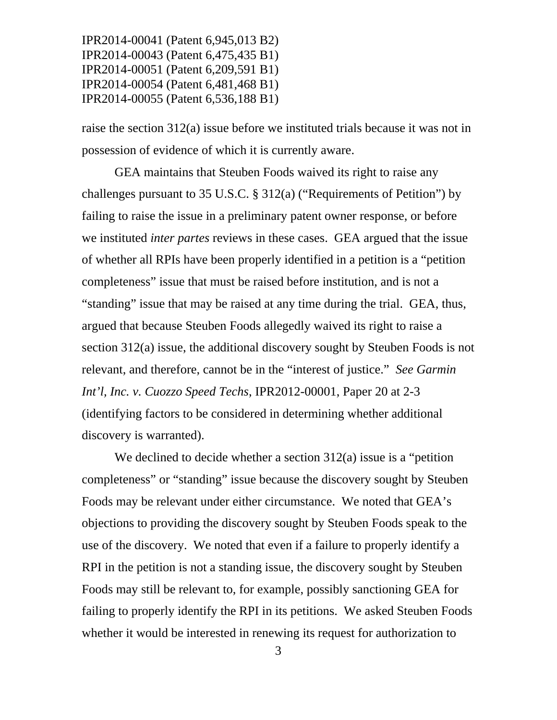raise the section 312(a) issue before we instituted trials because it was not in possession of evidence of which it is currently aware.

GEA maintains that Steuben Foods waived its right to raise any challenges pursuant to 35 U.S.C. § 312(a) ("Requirements of Petition") by failing to raise the issue in a preliminary patent owner response, or before we instituted *inter partes* reviews in these cases. GEA argued that the issue of whether all RPIs have been properly identified in a petition is a "petition completeness" issue that must be raised before institution, and is not a "standing" issue that may be raised at any time during the trial. GEA, thus, argued that because Steuben Foods allegedly waived its right to raise a section 312(a) issue, the additional discovery sought by Steuben Foods is not relevant, and therefore, cannot be in the "interest of justice." *See Garmin Int'l, Inc. v. Cuozzo Speed Techs*, IPR2012-00001, Paper 20 at 2-3 (identifying factors to be considered in determining whether additional discovery is warranted).

We declined to decide whether a section 312(a) issue is a "petition completeness" or "standing" issue because the discovery sought by Steuben Foods may be relevant under either circumstance. We noted that GEA's objections to providing the discovery sought by Steuben Foods speak to the use of the discovery. We noted that even if a failure to properly identify a RPI in the petition is not a standing issue, the discovery sought by Steuben Foods may still be relevant to, for example, possibly sanctioning GEA for failing to properly identify the RPI in its petitions. We asked Steuben Foods whether it would be interested in renewing its request for authorization to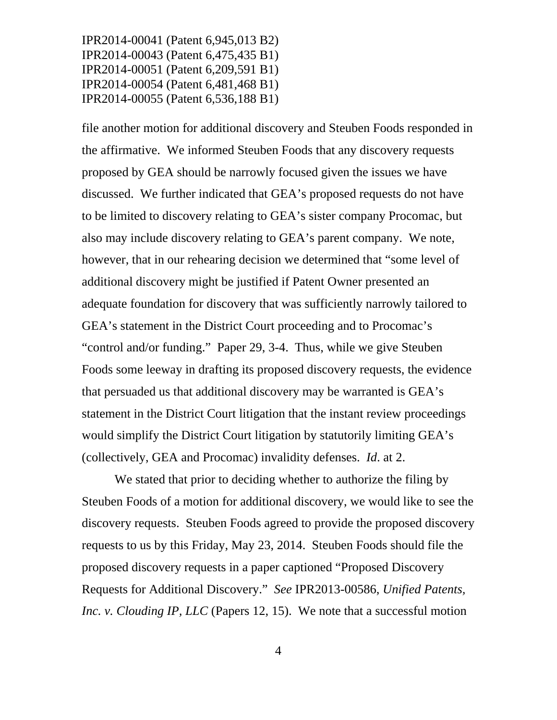file another motion for additional discovery and Steuben Foods responded in the affirmative. We informed Steuben Foods that any discovery requests proposed by GEA should be narrowly focused given the issues we have discussed. We further indicated that GEA's proposed requests do not have to be limited to discovery relating to GEA's sister company Procomac, but also may include discovery relating to GEA's parent company. We note, however, that in our rehearing decision we determined that "some level of additional discovery might be justified if Patent Owner presented an adequate foundation for discovery that was sufficiently narrowly tailored to GEA's statement in the District Court proceeding and to Procomac's "control and/or funding." Paper 29, 3-4. Thus, while we give Steuben Foods some leeway in drafting its proposed discovery requests, the evidence that persuaded us that additional discovery may be warranted is GEA's statement in the District Court litigation that the instant review proceedings would simplify the District Court litigation by statutorily limiting GEA's (collectively, GEA and Procomac) invalidity defenses. *Id*. at 2.

We stated that prior to deciding whether to authorize the filing by Steuben Foods of a motion for additional discovery, we would like to see the discovery requests. Steuben Foods agreed to provide the proposed discovery requests to us by this Friday, May 23, 2014. Steuben Foods should file the proposed discovery requests in a paper captioned "Proposed Discovery Requests for Additional Discovery." *See* IPR2013-00586, *Unified Patents, Inc. v. Clouding IP, LLC* (Papers 12, 15). We note that a successful motion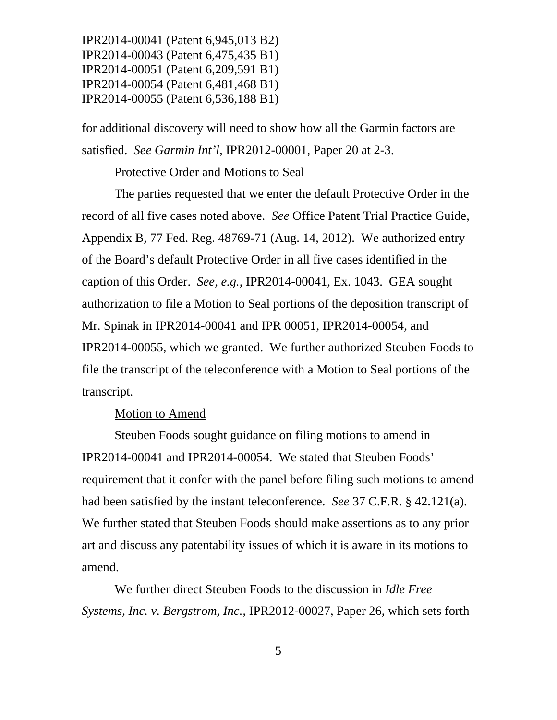for additional discovery will need to show how all the Garmin factors are satisfied. *See Garmin Int'l*, IPR2012-00001, Paper 20 at 2-3.

#### Protective Order and Motions to Seal

 The parties requested that we enter the default Protective Order in the record of all five cases noted above. *See* Office Patent Trial Practice Guide, Appendix B, 77 Fed. Reg. 48769-71 (Aug. 14, 2012). We authorized entry of the Board's default Protective Order in all five cases identified in the caption of this Order. *See*, *e.g.*, IPR2014-00041, Ex. 1043. GEA sought authorization to file a Motion to Seal portions of the deposition transcript of Mr. Spinak in IPR2014-00041 and IPR 00051, IPR2014-00054, and IPR2014-00055, which we granted. We further authorized Steuben Foods to file the transcript of the teleconference with a Motion to Seal portions of the transcript.

#### Motion to Amend

 Steuben Foods sought guidance on filing motions to amend in IPR2014-00041 and IPR2014-00054. We stated that Steuben Foods' requirement that it confer with the panel before filing such motions to amend had been satisfied by the instant teleconference. *See* 37 C.F.R. § 42.121(a). We further stated that Steuben Foods should make assertions as to any prior art and discuss any patentability issues of which it is aware in its motions to amend.

We further direct Steuben Foods to the discussion in *Idle Free Systems, Inc. v. Bergstrom, Inc.*, IPR2012-00027, Paper 26, which sets forth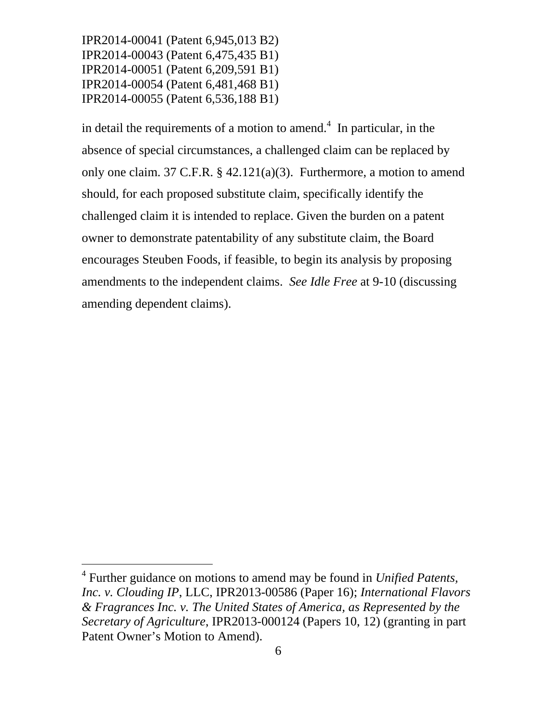l

in detail the requirements of a motion to amend.<sup>4</sup> In particular, in the absence of special circumstances, a challenged claim can be replaced by only one claim. 37 C.F.R. § 42.121(a)(3). Furthermore, a motion to amend should, for each proposed substitute claim, specifically identify the challenged claim it is intended to replace. Given the burden on a patent owner to demonstrate patentability of any substitute claim, the Board encourages Steuben Foods, if feasible, to begin its analysis by proposing amendments to the independent claims. *See Idle Free* at 9-10 (discussing amending dependent claims).

<sup>4</sup> Further guidance on motions to amend may be found in *Unified Patents, Inc. v. Clouding IP*, LLC, IPR2013-00586 (Paper 16); *International Flavors & Fragrances Inc. v. The United States of America, as Represented by the Secretary of Agriculture*, IPR2013-000124 (Papers 10, 12) (granting in part Patent Owner's Motion to Amend).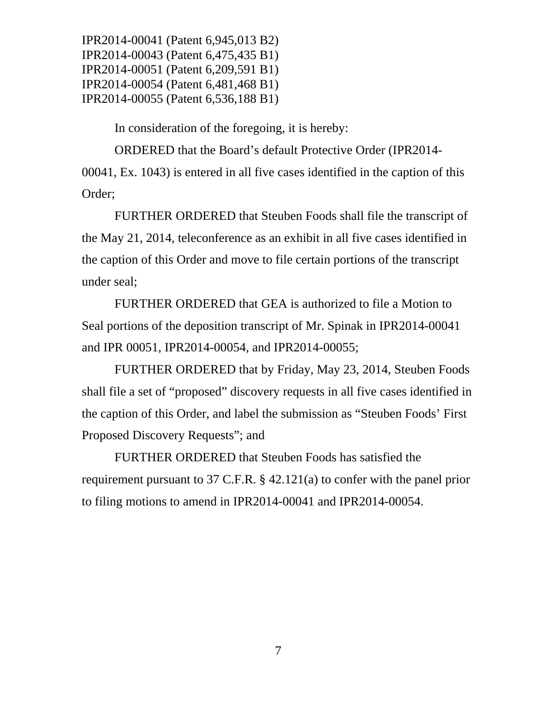In consideration of the foregoing, it is hereby:

ORDERED that the Board's default Protective Order (IPR2014- 00041, Ex. 1043) is entered in all five cases identified in the caption of this Order;

FURTHER ORDERED that Steuben Foods shall file the transcript of the May 21, 2014, teleconference as an exhibit in all five cases identified in the caption of this Order and move to file certain portions of the transcript under seal;

FURTHER ORDERED that GEA is authorized to file a Motion to Seal portions of the deposition transcript of Mr. Spinak in IPR2014-00041 and IPR 00051, IPR2014-00054, and IPR2014-00055;

FURTHER ORDERED that by Friday, May 23, 2014, Steuben Foods shall file a set of "proposed" discovery requests in all five cases identified in the caption of this Order, and label the submission as "Steuben Foods' First Proposed Discovery Requests"; and

FURTHER ORDERED that Steuben Foods has satisfied the requirement pursuant to 37 C.F.R. § 42.121(a) to confer with the panel prior to filing motions to amend in IPR2014-00041 and IPR2014-00054.